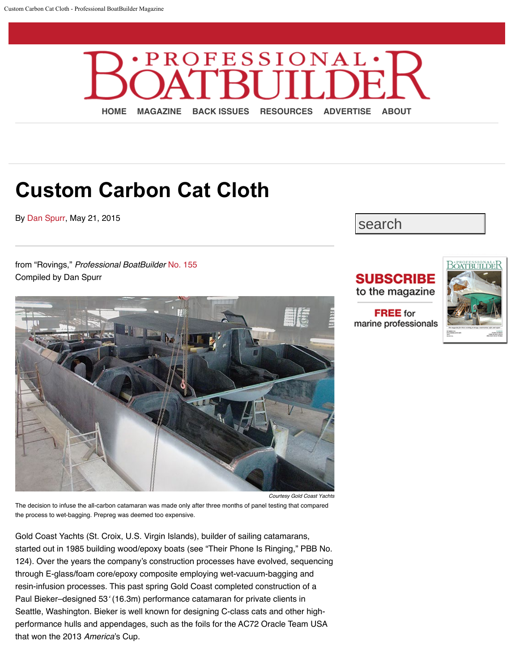<span id="page-0-0"></span>

## **Custom Carbon Cat Cloth**

By [Dan Spurr](https://www.proboat.com/author/dans/), May 21, 2015

from "Rovings," *Professional BoatBuilder* [No. 155](https://www.proboat.com/2015/05/custom-carbon-cat-cloth/index.php?option=com_content&view=article&id=269&Itemid=482) Compiled by Dan Spurr



*Courtesy Gold Coast Yachts*

The decision to infuse the all-carbon catamaran was made only after three months of panel testing that compared the process to wet-bagging. Prepreg was deemed too expensive.

Gold Coast Yachts (St. Croix, U.S. Virgin Islands), builder of sailing catamarans, started out in 1985 building wood/epoxy boats (see "Their Phone Is Ringing," PBB No. 124). Over the years the company's construction processes have evolved, sequencing through E-glass/foam core/epoxy composite employing wet-vacuum-bagging and resin-infusion processes. This past spring Gold Coast completed construction of a Paul Bieker–designed 53' (16.3m) performance catamaran for private clients in Seattle, Washington. Bieker is well known for designing C-class cats and other highperformance hulls and appendages, such as the foils for the AC72 Oracle Team USA that won the 2013 *America*'s Cup.

search

## **SUBSCRIBE** to the magazine

**FREE** for marine professionals

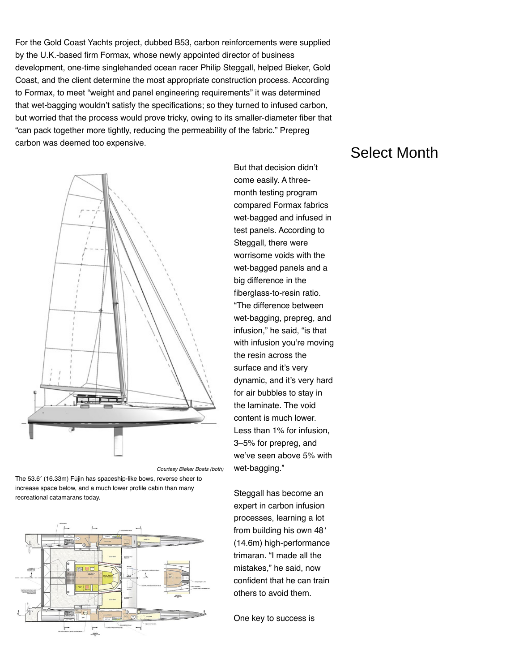For the Gold Coast Yachts project, dubbed B53, carbon reinforcements were supplied by the U.K.-based firm Formax, whose newly appointed director of business development, one-time singlehanded ocean racer Philip Steggall, helped Bieker, Gold Coast, and the client determine the most appropriate construction process. According to Formax, to meet "weight and panel engineering requirements" it was determined that wet-bagging wouldn't satisfy the specifications; so they turned to infused carbon, but worried that the process would prove tricky, owing to its smaller-diameter fiber that "can pack together more tightly, reducing the permeability of the fabric." Prepreg carbon was deemed too expensive.



*Courtesy Bieker Boats (both)*

The 53.6′ (16.33m) Fūjin has spaceship-like bows, reverse sheer to increase space below, and a much lower profile cabin than many recreational catamarans today.



But that decision didn't come easily. A threemonth testing program compared Formax fabrics wet-bagged and infused in test panels. According to Steggall, there were worrisome voids with the wet-bagged panels and a big difference in the fiberglass-to-resin ratio. "The difference between wet-bagging, prepreg, and infusion," he said, "is that with infusion you're moving the resin across the surface and it's very dynamic, and it's very hard for air bubbles to stay in the laminate. The void content is much lower. Less than 1% for infusion, 3–5% for prepreg, and we've seen above 5% with wet-bagging."

Steggall has become an expert in carbon infusion processes, learning a lot from building his own 48' (14.6m) high-performance trimaran. "I made all the mistakes," he said, now confident that he can train others to avoid them.

One key to success is

## Select Month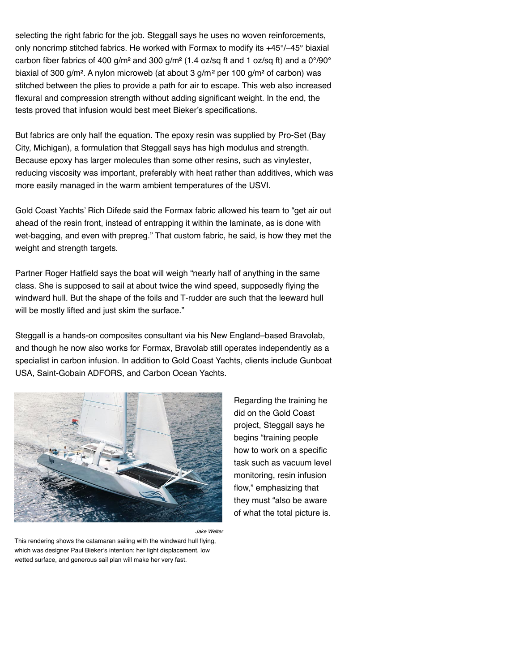selecting the right fabric for the job. Steggall says he uses no woven reinforcements, only noncrimp stitched fabrics. He worked with Formax to modify its +45°/–45° biaxial carbon fiber fabrics of 400 g/m<sup>2</sup> and 300 g/m<sup>2</sup> (1.4 oz/sq ft and 1 oz/sq ft) and a 0°/90° biaxial of 300 g/m<sup>2</sup>. A nylon microweb (at about 3 g/m<sup>2</sup> per 100 g/m<sup>2</sup> of carbon) was stitched between the plies to provide a path for air to escape. This web also increased flexural and compression strength without adding significant weight. In the end, the tests proved that infusion would best meet Bieker's specifications.

But fabrics are only half the equation. The epoxy resin was supplied by Pro-Set (Bay City, Michigan), a formulation that Steggall says has high modulus and strength. Because epoxy has larger molecules than some other resins, such as vinylester, reducing viscosity was important, preferably with heat rather than additives, which was more easily managed in the warm ambient temperatures of the USVI.

Gold Coast Yachts' Rich Difede said the Formax fabric allowed his team to "get air out ahead of the resin front, instead of entrapping it within the laminate, as is done with wet-bagging, and even with prepreg." That custom fabric, he said, is how they met the weight and strength targets.

Partner Roger Hatfield says the boat will weigh "nearly half of anything in the same class. She is supposed to sail at about twice the wind speed, supposedly flying the windward hull. But the shape of the foils and T-rudder are such that the leeward hull will be mostly lifted and just skim the surface."

Steggall is a hands-on composites consultant via his New England–based Bravolab, and though he now also works for Formax, Bravolab still operates independently as a specialist in carbon infusion. In addition to Gold Coast Yachts, clients include Gunboat USA, Saint-Gobain ADFORS, and Carbon Ocean Yachts.



*Jake Welter*

This rendering shows the catamaran sailing with the windward hull flying, which was designer Paul Bieker's intention; her light displacement, low wetted surface, and generous sail plan will make her very fast.

Regarding the training he did on the Gold Coast project, Steggall says he begins "training people how to work on a specific task such as vacuum level monitoring, resin infusion flow," emphasizing that they must "also be aware of what the total picture is.